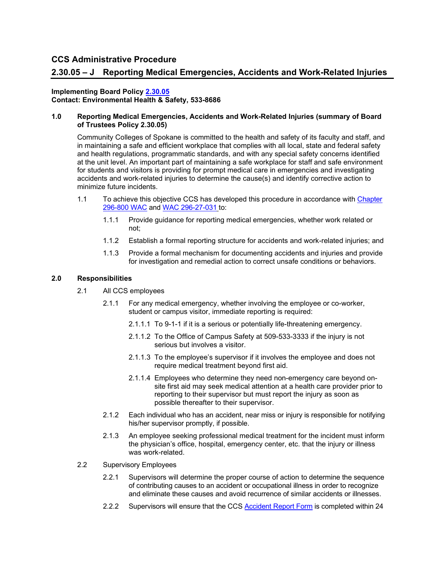# **2.30.05 – J Reporting Medical Emergencies, Accidents and Work-Related Injuries**

#### **Implementing Board Policy [2.30.05](https://ccs.spokane.edu/About-Us/Leadership/Board-of-Trustees/Policies-Procedures/Chapter2#AccWE2-9) Contact: Environmental Health & Safety, 533-8686**

# **1.0 Reporting Medical Emergencies, Accidents and Work-Related Injuries (summary of Board of Trustees Policy 2.30.05)**

Community Colleges of Spokane is committed to the health and safety of its faculty and staff, and in maintaining a safe and efficient workplace that complies with all local, state and federal safety and health regulations, programmatic standards, and with any special safety concerns identified at the unit level. An important part of maintaining a safe workplace for staff and safe environment for students and visitors is providing for prompt medical care in emergencies and investigating accidents and work-related injuries to determine the cause(s) and identify corrective action to minimize future incidents.

- 1.1 To achieve this objective CCS has developed this procedure in accordance with [Chapter](https://apps.leg.wa.gov/wac/default.aspx?cite=296-800)  [296-800 WAC](https://apps.leg.wa.gov/wac/default.aspx?cite=296-800) and [WAC 296-27-031](https://apps.leg.wa.gov/wac/default.aspx?cite=296-27-031) to:
	- 1.1.1 Provide guidance for reporting medical emergencies, whether work related or not;
	- 1.1.2 Establish a formal reporting structure for accidents and work-related injuries; and
	- 1.1.3 Provide a formal mechanism for documenting accidents and injuries and provide for investigation and remedial action to correct unsafe conditions or behaviors.

### **2.0 Responsibilities**

- 2.1 All CCS employees
	- 2.1.1 For any medical emergency, whether involving the employee or co-worker, student or campus visitor, immediate reporting is required:
		- 2.1.1.1 To 9-1-1 if it is a serious or potentially life-threatening emergency.
		- 2.1.1.2 To the Office of Campus Safety at 509-533-3333 if the injury is not serious but involves a visitor.
		- 2.1.1.3 To the employee's supervisor if it involves the employee and does not require medical treatment beyond first aid.
		- 2.1.1.4 Employees who determine they need non-emergency care beyond onsite first aid may seek medical attention at a health care provider prior to reporting to their supervisor but must report the injury as soon as possible thereafter to their supervisor.
	- 2.1.2 Each individual who has an accident, near miss or injury is responsible for notifying his/her supervisor promptly, if possible.
	- 2.1.3 An employee seeking professional medical treatment for the incident must inform the physician's office, hospital, emergency center, etc. that the injury or illness was work-related.
- 2.2 Supervisory Employees
	- 2.2.1 Supervisors will determine the proper course of action to determine the sequence of contributing causes to an accident or occupational illness in order to recognize and eliminate these causes and avoid recurrence of similar accidents or illnesses.
	- 2.2.2 Supervisors will ensure that the CCS [Accident Report Form](https://apps.powerapps.com/play/b41595cb-9d21-43c9-b366-d1b1712d60fb?tenantId=4dedfefa-6bd0-4442-a06c-98aed0b4b8da) is completed within 24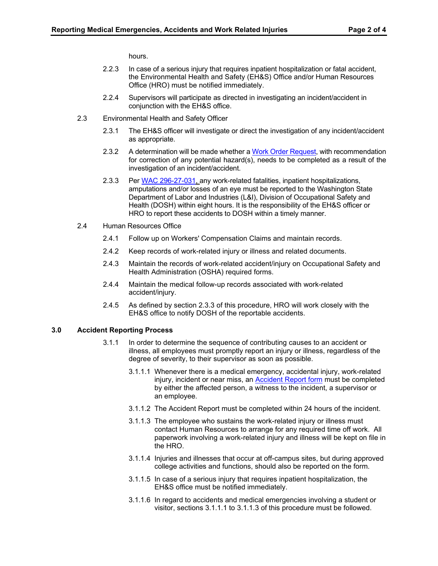hours.

- 2.2.3 In case of a serious injury that requires inpatient hospitalization or fatal accident, the Environmental Health and Safety (EH&S) Office and/or Human Resources Office (HRO) must be notified immediately.
- 2.2.4 Supervisors will participate as directed in investigating an incident/accident in conjunction with the EH&S office.
- 2.3 Environmental Health and Safety Officer
	- 2.3.1 The EH&S officer will investigate or direct the investigation of any incident/accident as appropriate.
	- 2.3.2 A determination will be made whether [a Work Order Request,](https://dlweb.megamation.com/spokanecc/DLWEB.php/O4W_INFO_PAGE) with recommendation for correction of any potential hazard(s), needs to be completed as a result of the investigation of an incident/accident.
	- 2.3.3 Per [WAC 296-27-031,](https://apps.leg.wa.gov/wac/default.aspx?cite=296-27-031) any work-related fatalities, inpatient hospitalizations, amputations and/or losses of an eye must be reported to the Washington State Department of Labor and Industries (L&I), Division of Occupational Safety and Health (DOSH) within eight hours. It is the responsibility of the EH&S officer or HRO to report these accidents to DOSH within a timely manner.
- 2.4 Human Resources Office
	- 2.4.1 Follow up on Workers' Compensation Claims and maintain records.
	- 2.4.2 Keep records of work-related injury or illness and related documents.
	- 2.4.3 Maintain the records of work-related accident/injury on Occupational Safety and Health Administration (OSHA) required forms.
	- 2.4.4 Maintain the medical follow-up records associated with work-related accident/injury.
	- 2.4.5 As defined by section 2.3.3 of this procedure, HRO will work closely with the EH&S office to notify DOSH of the reportable accidents.

# **3.0 Accident Reporting Process**

- 3.1.1 In order to determine the sequence of contributing causes to an accident or illness, all employees must promptly report an injury or illness, regardless of the degree of severity, to their supervisor as soon as possible.
	- 3.1.1.1 Whenever there is a medical emergency, accidental injury, work-related injury, incident or near miss, an **Accident Report form** must be completed by either the affected person, a witness to the incident, a supervisor or an employee.
	- 3.1.1.2 The Accident Report must be completed within 24 hours of the incident.
	- 3.1.1.3 The employee who sustains the work-related injury or illness must contact Human Resources to arrange for any required time off work. All paperwork involving a work-related injury and illness will be kept on file in the HRO.
	- 3.1.1.4 Injuries and illnesses that occur at off-campus sites, but during approved college activities and functions, should also be reported on the form.
	- 3.1.1.5 In case of a serious injury that requires inpatient hospitalization, the EH&S office must be notified immediately.
	- 3.1.1.6 In regard to accidents and medical emergencies involving a student or visitor, sections 3.1.1.1 to 3.1.1.3 of this procedure must be followed.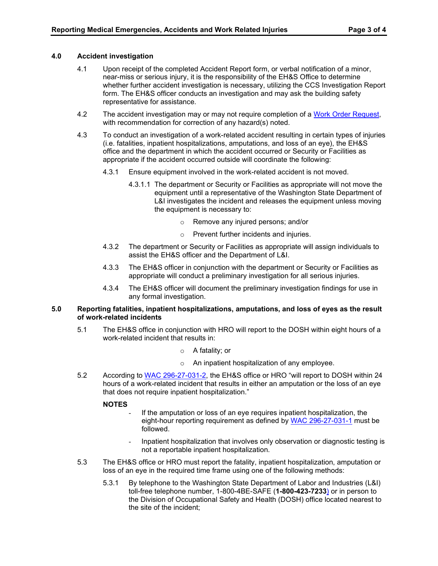# **4.0 Accident investigation**

- 4.1 Upon receipt of the completed Accident Report form, or verbal notification of a minor, near-miss or serious injury, it is the responsibility of the EH&S Office to determine whether further accident investigation is necessary, utilizing the CCS Investigation Report form. The EH&S officer conducts an investigation and may ask the building safety representative for assistance.
- 4.2 The accident investigation may or may not require completion of a [Work Order Request,](http://dlweb.megamation.com/spokanecc/DLWEB.php/O4W_WO_NEW) with recommendation for correction of any hazard(s) noted.
- 4.3 To conduct an investigation of a work-related accident resulting in certain types of injuries (i.e. fatalities, inpatient hospitalizations, amputations, and loss of an eye), the EH&S office and the department in which the accident occurred or Security or Facilities as appropriate if the accident occurred outside will coordinate the following:
	- 4.3.1 Ensure equipment involved in the work-related accident is not moved.
		- 4.3.1.1 The department or Security or Facilities as appropriate will not move the equipment until a representative of the Washington State Department of L&I investigates the incident and releases the equipment unless moving the equipment is necessary to:
			- o Remove any injured persons; and/or
			- o Prevent further incidents and injuries.
	- 4.3.2 The department or Security or Facilities as appropriate will assign individuals to assist the EH&S officer and the Department of L&I.
	- 4.3.3 The EH&S officer in conjunction with the department or Security or Facilities as appropriate will conduct a preliminary investigation for all serious injuries.
	- 4.3.4 The EH&S officer will document the preliminary investigation findings for use in any formal investigation.

### **5.0 Reporting fatalities, inpatient hospitalizations, amputations, and loss of eyes as the result of work-related incidents**

- 5.1 The EH&S office in conjunction with HRO will report to the DOSH within eight hours of a work-related incident that results in:
	- o A fatality; or
	- o An inpatient hospitalization of any employee.
- 5.2 According to [WAC 296-27-031-2,](https://apps.leg.wa.gov/wac/default.aspx?cite=296-27-031) the EH&S office or HRO "will report to DOSH within 24 hours of a work-related incident that results in either an amputation or the loss of an eye that does not require inpatient hospitalization."

### **NOTES**

- If the amputation or loss of an eye requires inpatient hospitalization, the eight-hour reporting requirement as defined by [WAC 296-27-031-1](http://apps.leg.wa.gov/wac/default.aspx?cite=296-27-031) must be followed.
- Inpatient hospitalization that involves only observation or diagnostic testing is not a reportable inpatient hospitalization.
- 5.3 The EH&S office or HRO must report the fatality, inpatient hospitalization, amputation or loss of an eye in the required time frame using one of the following methods:
	- 5.3.1 By telephone to the Washington State Department of Labor and Industries (L&I) toll-free telephone number, 1-800-4BE-SAFE (**1-800-423-7233**) or in person to the Division of Occupational Safety and Health (DOSH) office located nearest to the site of the incident;